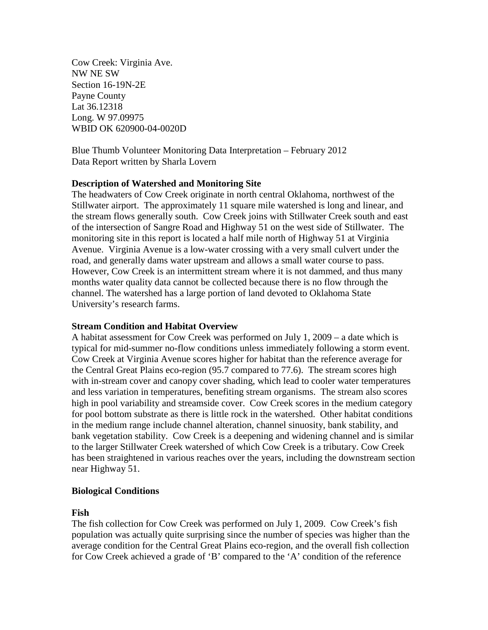Cow Creek: Virginia Ave. NW NE SW Section 16-19N-2E Payne County Lat 36.12318 Long. W 97.09975 WBID OK 620900-04-0020D

Blue Thumb Volunteer Monitoring Data Interpretation – February 2012 Data Report written by Sharla Lovern

#### **Description of Watershed and Monitoring Site**

The headwaters of Cow Creek originate in north central Oklahoma, northwest of the Stillwater airport. The approximately 11 square mile watershed is long and linear, and the stream flows generally south. Cow Creek joins with Stillwater Creek south and east of the intersection of Sangre Road and Highway 51 on the west side of Stillwater. The monitoring site in this report is located a half mile north of Highway 51 at Virginia Avenue. Virginia Avenue is a low-water crossing with a very small culvert under the road, and generally dams water upstream and allows a small water course to pass. However, Cow Creek is an intermittent stream where it is not dammed, and thus many months water quality data cannot be collected because there is no flow through the channel. The watershed has a large portion of land devoted to Oklahoma State University's research farms.

#### **Stream Condition and Habitat Overview**

A habitat assessment for Cow Creek was performed on July 1, 2009 – a date which is typical for mid-summer no-flow conditions unless immediately following a storm event. Cow Creek at Virginia Avenue scores higher for habitat than the reference average for the Central Great Plains eco-region (95.7 compared to 77.6). The stream scores high with in-stream cover and canopy cover shading, which lead to cooler water temperatures and less variation in temperatures, benefiting stream organisms. The stream also scores high in pool variability and streamside cover. Cow Creek scores in the medium category for pool bottom substrate as there is little rock in the watershed. Other habitat conditions in the medium range include channel alteration, channel sinuosity, bank stability, and bank vegetation stability. Cow Creek is a deepening and widening channel and is similar to the larger Stillwater Creek watershed of which Cow Creek is a tributary. Cow Creek has been straightened in various reaches over the years, including the downstream section near Highway 51.

# **Biological Conditions**

#### **Fish**

The fish collection for Cow Creek was performed on July 1, 2009. Cow Creek's fish population was actually quite surprising since the number of species was higher than the average condition for the Central Great Plains eco-region, and the overall fish collection for Cow Creek achieved a grade of 'B' compared to the 'A' condition of the reference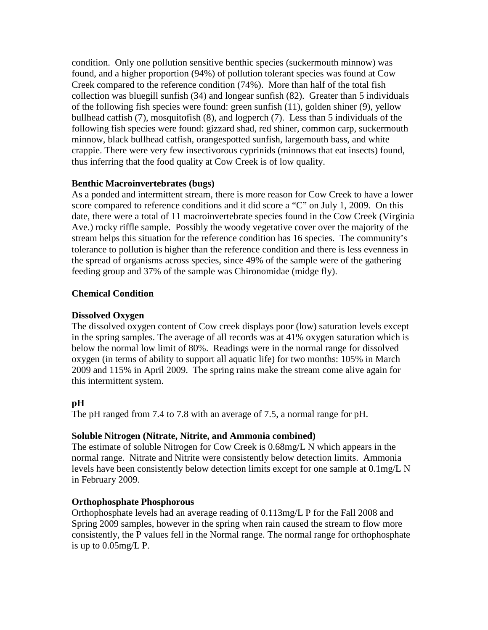condition. Only one pollution sensitive benthic species (suckermouth minnow) was found, and a higher proportion (94%) of pollution tolerant species was found at Cow Creek compared to the reference condition (74%). More than half of the total fish collection was bluegill sunfish (34) and longear sunfish (82). Greater than 5 individuals of the following fish species were found: green sunfish (11), golden shiner (9), yellow bullhead catfish (7), mosquitofish (8), and logperch (7). Less than 5 individuals of the following fish species were found: gizzard shad, red shiner, common carp, suckermouth minnow, black bullhead catfish, orangespotted sunfish, largemouth bass, and white crappie. There were very few insectivorous cyprinids (minnows that eat insects) found, thus inferring that the food quality at Cow Creek is of low quality.

# **Benthic Macroinvertebrates (bugs)**

As a ponded and intermittent stream, there is more reason for Cow Creek to have a lower score compared to reference conditions and it did score a "C" on July 1, 2009. On this date, there were a total of 11 macroinvertebrate species found in the Cow Creek (Virginia Ave.) rocky riffle sample. Possibly the woody vegetative cover over the majority of the stream helps this situation for the reference condition has 16 species. The community's tolerance to pollution is higher than the reference condition and there is less evenness in the spread of organisms across species, since 49% of the sample were of the gathering feeding group and 37% of the sample was Chironomidae (midge fly).

#### **Chemical Condition**

#### **Dissolved Oxygen**

The dissolved oxygen content of Cow creek displays poor (low) saturation levels except in the spring samples. The average of all records was at 41% oxygen saturation which is below the normal low limit of 80%. Readings were in the normal range for dissolved oxygen (in terms of ability to support all aquatic life) for two months: 105% in March 2009 and 115% in April 2009. The spring rains make the stream come alive again for this intermittent system.

# **pH**

The pH ranged from 7.4 to 7.8 with an average of 7.5, a normal range for pH.

# **Soluble Nitrogen (Nitrate, Nitrite, and Ammonia combined)**

The estimate of soluble Nitrogen for Cow Creek is 0.68mg/L N which appears in the normal range. Nitrate and Nitrite were consistently below detection limits. Ammonia levels have been consistently below detection limits except for one sample at 0.1mg/L N in February 2009.

# **Orthophosphate Phosphorous**

Orthophosphate levels had an average reading of 0.113mg/L P for the Fall 2008 and Spring 2009 samples, however in the spring when rain caused the stream to flow more consistently, the P values fell in the Normal range. The normal range for orthophosphate is up to  $0.05$ mg/L P.